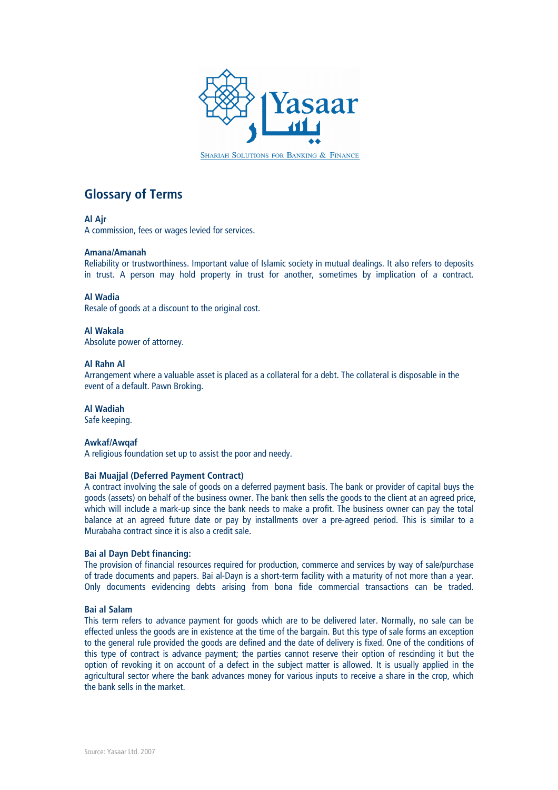

SHARIAH SOLUTIONS FOR BANKING & FINANCE

# Glossary of Terms

# Al Ajr

A commission, fees or wages levied for services.

## Amana/Amanah

Reliability or trustworthiness. Important value of Islamic society in mutual dealings. It also refers to deposits in trust. A person may hold property in trust for another, sometimes by implication of a contract.

# Al Wadia

Resale of goods at a discount to the original cost.

# Al Wakala

Absolute power of attorney.

# Al Rahn Al

Arrangement where a valuable asset is placed as a collateral for a debt. The collateral is disposable in the event of a default. Pawn Broking.

# Al Wadiah

Safe keeping.

## Awkaf/Awqaf

A religious foundation set up to assist the poor and needy.

# Bai Muajjal (Deferred Payment Contract)

A contract involving the sale of goods on a deferred payment basis. The bank or provider of capital buys the goods (assets) on behalf of the business owner. The bank then sells the goods to the client at an agreed price, which will include a mark-up since the bank needs to make a profit. The business owner can pay the total balance at an agreed future date or pay by installments over a pre-agreed period. This is similar to a Murabaha contract since it is also a credit sale.

## Bai al Dayn Debt financing:

The provision of financial resources required for production, commerce and services by way of sale/purchase of trade documents and papers. Bai al-Dayn is a short-term facility with a maturity of not more than a year. Only documents evidencing debts arising from bona fide commercial transactions can be traded.

## Bai al Salam

This term refers to advance payment for goods which are to be delivered later. Normally, no sale can be effected unless the goods are in existence at the time of the bargain. But this type of sale forms an exception to the general rule provided the goods are defined and the date of delivery is fixed. One of the conditions of this type of contract is advance payment; the parties cannot reserve their option of rescinding it but the option of revoking it on account of a defect in the subject matter is allowed. It is usually applied in the agricultural sector where the bank advances money for various inputs to receive a share in the crop, which the bank sells in the market.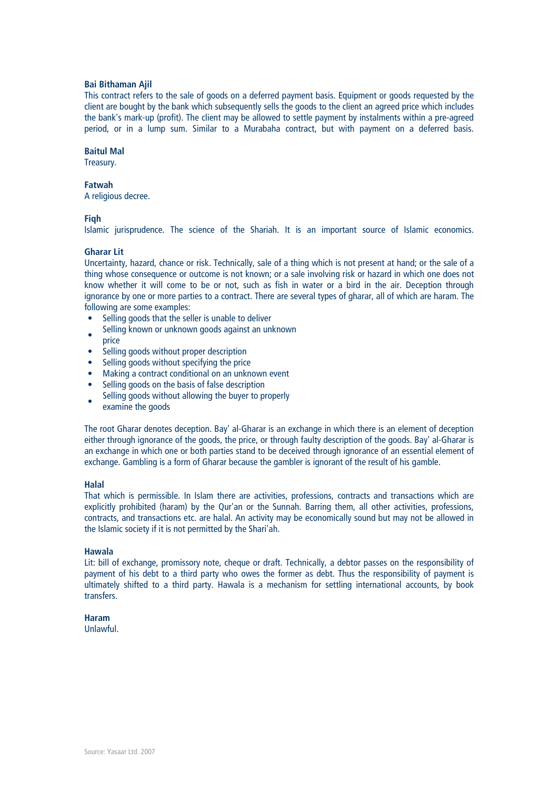## Bai Bithaman Ajil

This contract refers to the sale of goods on a deferred payment basis. Equipment or goods requested by the client are bought by the bank which subsequently sells the goods to the client an agreed price which includes the bank's mark-up (profit). The client may be allowed to settle payment by instalments within a pre-agreed period, or in a lump sum. Similar to a Murabaha contract, but with payment on a deferred basis.

#### Baitul Mal

Treasury.

## Fatwah

A religious decree.

## **Figh**

Islamic jurisprudence. The science of the Shariah. It is an important source of Islamic economics.

## Gharar Lit

Uncertainty, hazard, chance or risk. Technically, sale of a thing which is not present at hand; or the sale of a thing whose consequence or outcome is not known; or a sale involving risk or hazard in which one does not know whether it will come to be or not, such as fish in water or a bird in the air. Deception through ignorance by one or more parties to a contract. There are several types of gharar, all of which are haram. The following are some examples:

- Selling goods that the seller is unable to deliver
- Selling known or unknown goods against an unknown
- price
- Selling goods without proper description
- Selling goods without specifying the price
- Making a contract conditional on an unknown event
- Selling goods on the basis of false description
- Selling goods without allowing the buyer to properly
- examine the goods

The root Gharar denotes deception. Bay' al-Gharar is an exchange in which there is an element of deception either through ignorance of the goods, the price, or through faulty description of the goods. Bay' al-Gharar is an exchange in which one or both parties stand to be deceived through ignorance of an essential element of exchange. Gambling is a form of Gharar because the gambler is ignorant of the result of his gamble.

#### Halal

That which is permissible. In Islam there are activities, professions, contracts and transactions which are explicitly prohibited (haram) by the Qur'an or the Sunnah. Barring them, all other activities, professions, contracts, and transactions etc. are halal. An activity may be economically sound but may not be allowed in the Islamic society if it is not permitted by the Shari'ah.

## Hawala

Lit: bill of exchange, promissory note, cheque or draft. Technically, a debtor passes on the responsibility of payment of his debt to a third party who owes the former as debt. Thus the responsibility of payment is ultimately shifted to a third party. Hawala is a mechanism for settling international accounts, by book transfers.

#### Haram

Unlawful.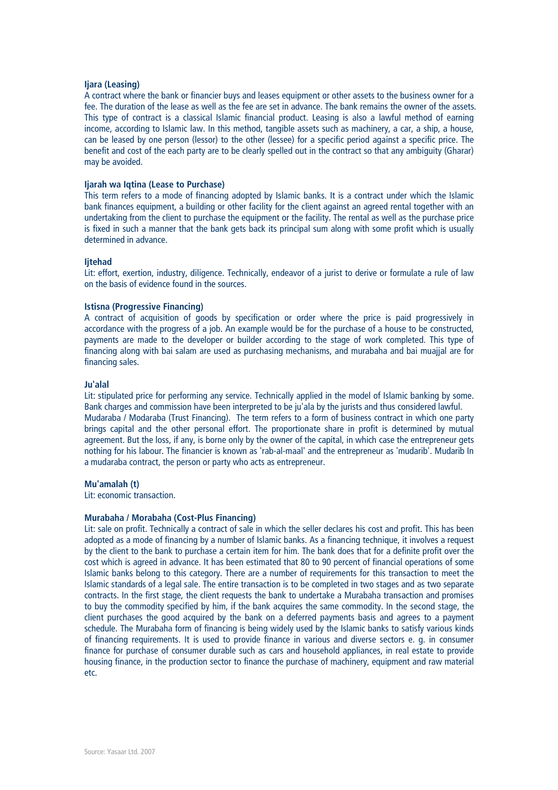## liara (Leasing)

A contract where the bank or financier buys and leases equipment or other assets to the business owner for a fee. The duration of the lease as well as the fee are set in advance. The bank remains the owner of the assets. This type of contract is a classical Islamic financial product. Leasing is also a lawful method of earning income, according to Islamic law. In this method, tangible assets such as machinery, a car, a ship, a house, can be leased by one person (lessor) to the other (lessee) for a specific period against a specific price. The benefit and cost of the each party are to be clearly spelled out in the contract so that any ambiguity (Gharar) may be avoided.

## Ijarah wa Iqtina (Lease to Purchase)

This term refers to a mode of financing adopted by Islamic banks. It is a contract under which the Islamic bank finances equipment, a building or other facility for the client against an agreed rental together with an undertaking from the client to purchase the equipment or the facility. The rental as well as the purchase price is fixed in such a manner that the bank gets back its principal sum along with some profit which is usually determined in advance.

#### Ijtehad

Lit: effort, exertion, industry, diligence. Technically, endeavor of a jurist to derive or formulate a rule of law on the basis of evidence found in the sources.

## Istisna (Progressive Financing)

A contract of acquisition of goods by specification or order where the price is paid progressively in accordance with the progress of a job. An example would be for the purchase of a house to be constructed, payments are made to the developer or builder according to the stage of work completed. This type of financing along with bai salam are used as purchasing mechanisms, and murabaha and bai muajjal are for financing sales.

#### Ju'alal

Lit: stipulated price for performing any service. Technically applied in the model of Islamic banking by some. Bank charges and commission have been interpreted to be ju'ala by the jurists and thus considered lawful. Mudaraba / Modaraba (Trust Financing). The term refers to a form of business contract in which one party brings capital and the other personal effort. The proportionate share in profit is determined by mutual agreement. But the loss, if any, is borne only by the owner of the capital, in which case the entrepreneur gets nothing for his labour. The financier is known as 'rab-al-maal' and the entrepreneur as 'mudarib'. Mudarib In a mudaraba contract, the person or party who acts as entrepreneur.

#### Mu'amalah (t)

Lit: economic transaction.

#### Murabaha / Morabaha (Cost-Plus Financing)

Lit: sale on profit. Technically a contract of sale in which the seller declares his cost and profit. This has been adopted as a mode of financing by a number of Islamic banks. As a financing technique, it involves a request by the client to the bank to purchase a certain item for him. The bank does that for a definite profit over the cost which is agreed in advance. It has been estimated that 80 to 90 percent of financial operations of some Islamic banks belong to this category. There are a number of requirements for this transaction to meet the Islamic standards of a legal sale. The entire transaction is to be completed in two stages and as two separate contracts. In the first stage, the client requests the bank to undertake a Murabaha transaction and promises to buy the commodity specified by him, if the bank acquires the same commodity. In the second stage, the client purchases the good acquired by the bank on a deferred payments basis and agrees to a payment schedule. The Murabaha form of financing is being widely used by the Islamic banks to satisfy various kinds of financing requirements. It is used to provide finance in various and diverse sectors e. g. in consumer finance for purchase of consumer durable such as cars and household appliances, in real estate to provide housing finance, in the production sector to finance the purchase of machinery, equipment and raw material etc.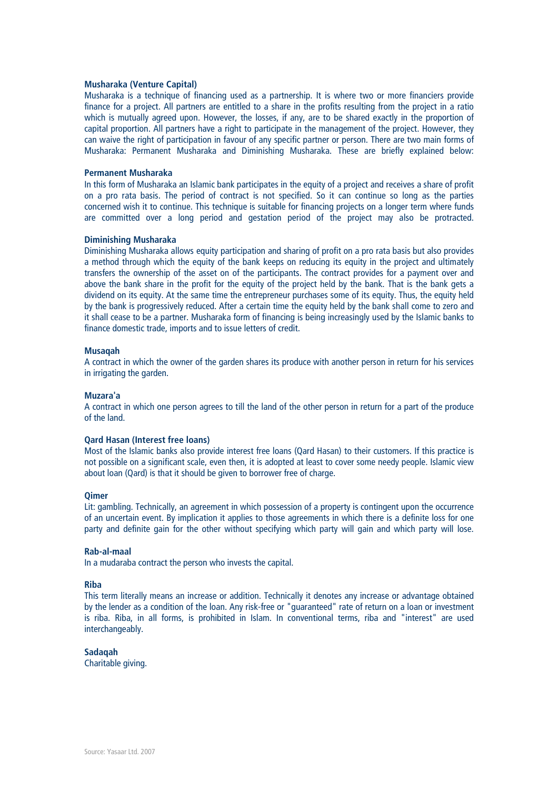## Musharaka (Venture Capital)

Musharaka is a technique of financing used as a partnership. It is where two or more financiers provide finance for a project. All partners are entitled to a share in the profits resulting from the project in a ratio which is mutually agreed upon. However, the losses, if any, are to be shared exactly in the proportion of capital proportion. All partners have a right to participate in the management of the project. However, they can waive the right of participation in favour of any specific partner or person. There are two main forms of Musharaka: Permanent Musharaka and Diminishing Musharaka. These are briefly explained below:

## Permanent Musharaka

In this form of Musharaka an Islamic bank participates in the equity of a project and receives a share of profit on a pro rata basis. The period of contract is not specified. So it can continue so long as the parties concerned wish it to continue. This technique is suitable for financing projects on a longer term where funds are committed over a long period and gestation period of the project may also be protracted.

## Diminishing Musharaka

Diminishing Musharaka allows equity participation and sharing of profit on a pro rata basis but also provides a method through which the equity of the bank keeps on reducing its equity in the project and ultimately transfers the ownership of the asset on of the participants. The contract provides for a payment over and above the bank share in the profit for the equity of the project held by the bank. That is the bank gets a dividend on its equity. At the same time the entrepreneur purchases some of its equity. Thus, the equity held by the bank is progressively reduced. After a certain time the equity held by the bank shall come to zero and it shall cease to be a partner. Musharaka form of financing is being increasingly used by the Islamic banks to finance domestic trade, imports and to issue letters of credit.

## Musaqah

A contract in which the owner of the garden shares its produce with another person in return for his services in irrigating the garden.

## Muzara'a

A contract in which one person agrees to till the land of the other person in return for a part of the produce of the land.

## Qard Hasan (Interest free loans)

Most of the Islamic banks also provide interest free loans (Qard Hasan) to their customers. If this practice is not possible on a significant scale, even then, it is adopted at least to cover some needy people. Islamic view about loan (Qard) is that it should be given to borrower free of charge.

#### **Oimer**

Lit: gambling. Technically, an agreement in which possession of a property is contingent upon the occurrence of an uncertain event. By implication it applies to those agreements in which there is a definite loss for one party and definite gain for the other without specifying which party will gain and which party will lose.

#### Rab-al-maal

In a mudaraba contract the person who invests the capital.

#### Riba

This term literally means an increase or addition. Technically it denotes any increase or advantage obtained by the lender as a condition of the loan. Any risk-free or "guaranteed" rate of return on a loan or investment is riba. Riba, in all forms, is prohibited in Islam. In conventional terms, riba and "interest" are used interchangeably.

## Sadaqah

Charitable giving.